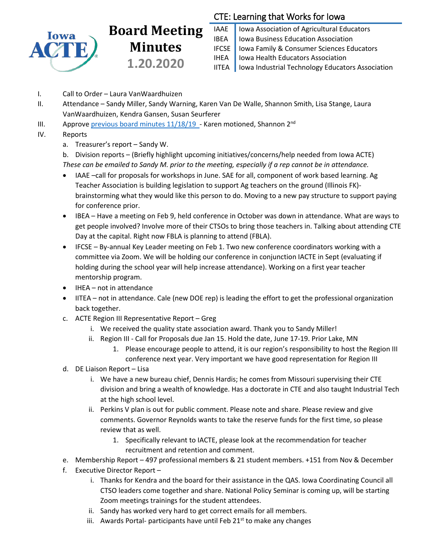

## **Board Meeting Minutes 1.20.2020**

## CTE: Learning that Works for Iowa

IAAE | Iowa Association of Agricultural Educators **IBEA** | Iowa Business Education Association IFCSE Iowa Family & Consumer Sciences Educators IHEA | Iowa Health Educators Association IITEA | Iowa Industrial Technology Educators Association

- I. Call to Order Laura VanWaardhuizen
- II. Attendance Sandy Miller, Sandy Warning, Karen Van De Walle, Shannon Smith, Lisa Stange, Laura VanWaardhuizen, Kendra Gansen, Susan Seurferer
- III. Approve previous board minutes  $11/18/19$  Karen motioned, Shannon 2<sup>nd</sup>
- IV. Reports
	- a. Treasurer's report Sandy W.

b. Division reports – (Briefly highlight upcoming initiatives/concerns/help needed from Iowa ACTE) *These can be emailed to Sandy M. prior to the meeting, especially if a rep cannot be in attendance.*

- IAAE –call for proposals for workshops in June. SAE for all, component of work based learning. Ag Teacher Association is building legislation to support Ag teachers on the ground (Illinois FK) brainstorming what they would like this person to do. Moving to a new pay structure to support paying for conference prior.
- IBEA Have a meeting on Feb 9, held conference in October was down in attendance. What are ways to get people involved? Involve more of their CTSOs to bring those teachers in. Talking about attending CTE Day at the capital. Right now FBLA is planning to attend (FBLA).
- IFCSE By-annual Key Leader meeting on Feb 1. Two new conference coordinators working with a committee via Zoom. We will be holding our conference in conjunction IACTE in Sept (evaluating if holding during the school year will help increase attendance). Working on a first year teacher mentorship program.
- IHEA not in attendance
- IITEA not in attendance. Cale (new DOE rep) is leading the effort to get the professional organization back together.
- c. ACTE Region III Representative Report Greg
	- i. We received the quality state association award. Thank you to Sandy Miller!
	- ii. Region III Call for Proposals due Jan 15. Hold the date, June 17-19. Prior Lake, MN
		- 1. Please encourage people to attend, it is our region's responsibility to host the Region III conference next year. Very important we have good representation for Region III
- d. DE Liaison Report Lisa
	- i. We have a new bureau chief, Dennis Hardis; he comes from Missouri supervising their CTE division and bring a wealth of knowledge. Has a doctorate in CTE and also taught Industrial Tech at the high school level.
	- ii. Perkins V plan is out for public comment. Please note and share. Please review and give comments. Governor Reynolds wants to take the reserve funds for the first time, so please review that as well.
		- 1. Specifically relevant to IACTE, please look at the recommendation for teacher recruitment and retention and comment.
- e. Membership Report 497 professional members & 21 student members. +151 from Nov & December
- f. Executive Director Report
	- i. Thanks for Kendra and the board for their assistance in the QAS. Iowa Coordinating Council all CTSO leaders come together and share. National Policy Seminar is coming up, will be starting Zoom meetings trainings for the student attendees.
	- ii. Sandy has worked very hard to get correct emails for all members.
	- iii. Awards Portal- participants have until Feb  $21<sup>st</sup>$  to make any changes